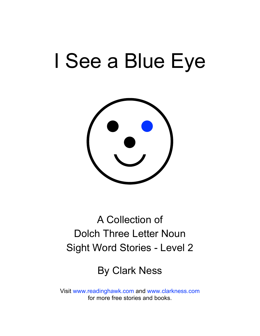# I See a Blue Eye



### A Collection of Dolch Three Letter Noun Sight Word Stories - Level 2

### By Clark Ness

Visit [www.readinghawk.com](http://www.readinghawk.com) and [www.clarkness.com](http://www.clarkness.com) for more free stories and books.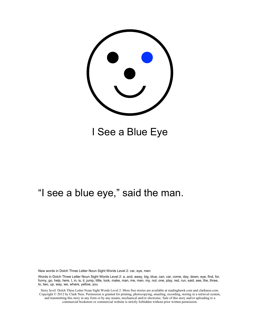

I See a Blue Eye

### "I see a blue eye," said the man.

New words in Dolch Three Letter Noun Sight Words Level 2: car, eye, men

Words in Dolch Three Letter Noun Sight Words Level 2: a, and, away, big, blue, can, car, come, day, down, eye, find, for, funny, go, help, here, I, in, is, it, jump, little, look, make, man, me, men, my, not, one, play, red, run, said, see, the, three, to, two, up, way, we, where, yellow, you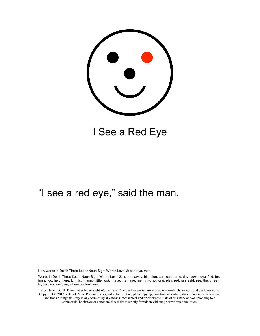

I See a Red Eye

### "I see a red eye," said the man.

New words in Dolch Three Letter Noun Sight Words Level 2: car, eye, men

Words in Dolch Three Letter Noun Sight Words Level 2: a, and, away, big, blue, can, car, come, day, down, eye, find, for, funny, go, help, here, I, in, is, it, jump, little, look, make, man, me, men, my, not, one, play, red, run, said, see, the, three, to, two, up, way, we, where, yellow, you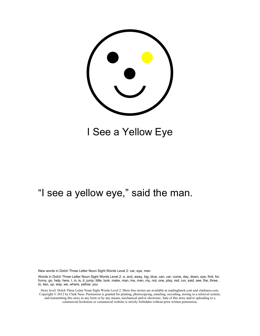

### I See a Yellow Eye

### "I see a yellow eye," said the man.

New words in Dolch Three Letter Noun Sight Words Level 2: car, eye, men

Words in Dolch Three Letter Noun Sight Words Level 2: a, and, away, big, blue, can, car, come, day, down, eye, find, for, funny, go, help, here, I, in, is, it, jump, little, look, make, man, me, men, my, not, one, play, red, run, said, see, the, three, to, two, up, way, we, where, yellow, you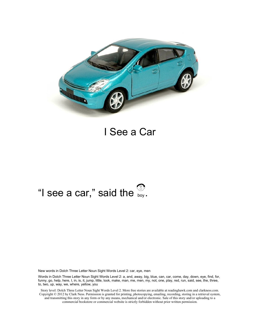

#### I See a Car

## "I see a car," said the  $\frac{8}{\text{boy}}$ .

New words in Dolch Three Letter Noun Sight Words Level 2: car, eye, men

Words in Dolch Three Letter Noun Sight Words Level 2: a, and, away, big, blue, can, car, come, day, down, eye, find, for, funny, go, help, here, I, in, is, it, jump, little, look, make, man, me, men, my, not, one, play, red, run, said, see, the, three, to, two, up, way, we, where, yellow, you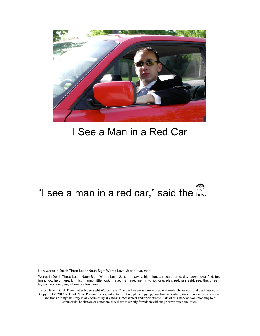

### I See a Man in a Red Car

## "I see a man in a red car," said the  $\mathcal{B}_{\text{boy}}$ .

New words in Dolch Three Letter Noun Sight Words Level 2: car, eye, men

Words in Dolch Three Letter Noun Sight Words Level 2: a, and, away, big, blue, can, car, come, day, down, eye, find, for, funny, go, help, here, I, in, is, it, jump, little, look, make, man, me, men, my, not, one, play, red, run, said, see, the, three, to, two, up, way, we, where, yellow, you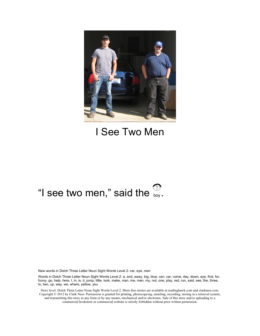

### I See Two Men

## "I see two men," said the  $\frac{80}{\log 5}$ .

New words in Dolch Three Letter Noun Sight Words Level 2: car, eye, men

Words in Dolch Three Letter Noun Sight Words Level 2: a, and, away, big, blue, can, car, come, day, down, eye, find, for, funny, go, help, here, I, in, is, it, jump, little, look, make, man, me, men, my, not, one, play, red, run, said, see, the, three, to, two, up, way, we, where, yellow, you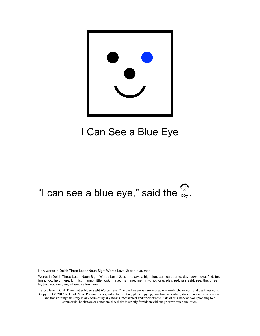

### I Can See a Blue Eye

## "I can see a blue eye," said the  $\frac{80}{\text{boy}}$ .

New words in Dolch Three Letter Noun Sight Words Level 2: car, eye, men

Words in Dolch Three Letter Noun Sight Words Level 2: a, and, away, big, blue, can, car, come, day, down, eye, find, for, funny, go, help, here, I, in, is, it, jump, little, look, make, man, me, men, my, not, one, play, red, run, said, see, the, three, to, two, up, way, we, where, yellow, you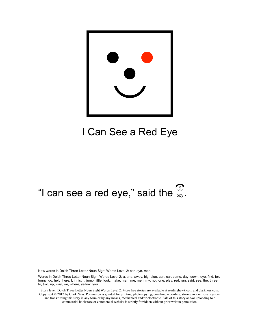

### I Can See a Red Eye

## "I can see a red eye," said the  $\frac{80}{\log 5}$ .

New words in Dolch Three Letter Noun Sight Words Level 2: car, eye, men

Words in Dolch Three Letter Noun Sight Words Level 2: a, and, away, big, blue, can, car, come, day, down, eye, find, for, funny, go, help, here, I, in, is, it, jump, little, look, make, man, me, men, my, not, one, play, red, run, said, see, the, three, to, two, up, way, we, where, yellow, you